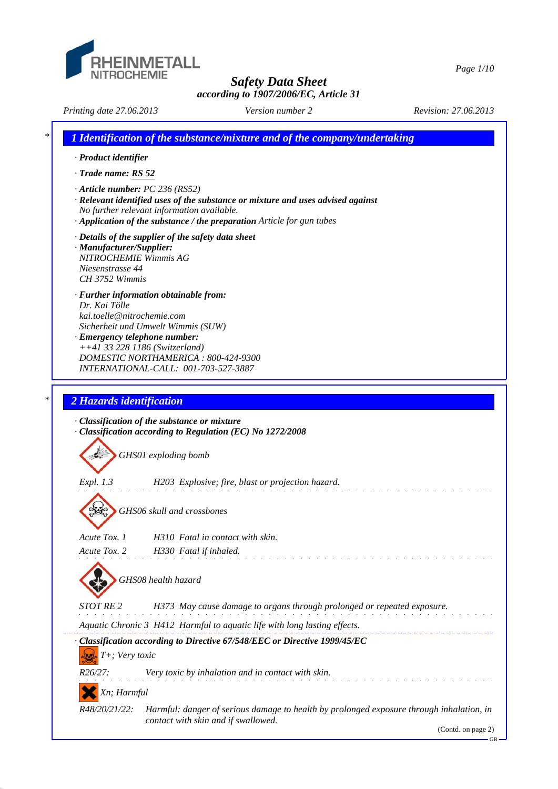

*Safety Data Sheet*

*Page 1/10*

*according to 1907/2006/EC, Article 31*

*Printing date 27.06.2013 Revision: 27.06.2013 Version number 2*

*\* 1 Identification of the substance/mixture and of the company/undertaking · Product identifier · Trade name: RS 52 · Article number: PC 236 (RS52) · Relevant identified uses of the substance or mixture and uses advised against No further relevant information available. · Application of the substance / the preparation Article for gun tubes · Details of the supplier of the safety data sheet · Manufacturer/Supplier: NITROCHEMIE Wimmis AG Niesenstrasse 44 CH 3752 Wimmis · Further information obtainable from: Dr. Kai Tölle kai.toelle@nitrochemie.com Sicherheit und Umwelt Wimmis (SUW) · Emergency telephone number: ++41 33 228 1186 (Switzerland) DOMESTIC NORTHAMERICA : 800-424-9300 INTERNATIONAL-CALL: 001-703-527-3887 \* 2 Hazards identification · Classification of the substance or mixture · Classification according to Regulation (EC) No 1272/2008 GHS01 exploding bomb Expl. 1.3 H203 Explosive; fire, blast or projection hazard. GHS06 skull and crossbones Acute Tox. 1 H310 Fatal in contact with skin. Acute Tox. 2 H330 Fatal if inhaled. GHS08 health hazard STOT RE 2 H373 May cause damage to organs through prolonged or repeated exposure. Aquatic Chronic 3 H412 Harmful to aquatic life with long lasting effects. · Classification according to Directive 67/548/EEC or Directive 1999/45/EC T+; Very toxic R26/27: Very toxic by inhalation and in contact with skin. Xn; Harmful R48/20/21/22: Harmful: danger of serious damage to health by prolonged exposure through inhalation, in contact with skin and if swallowed.*

(Contd. on page 2)

GB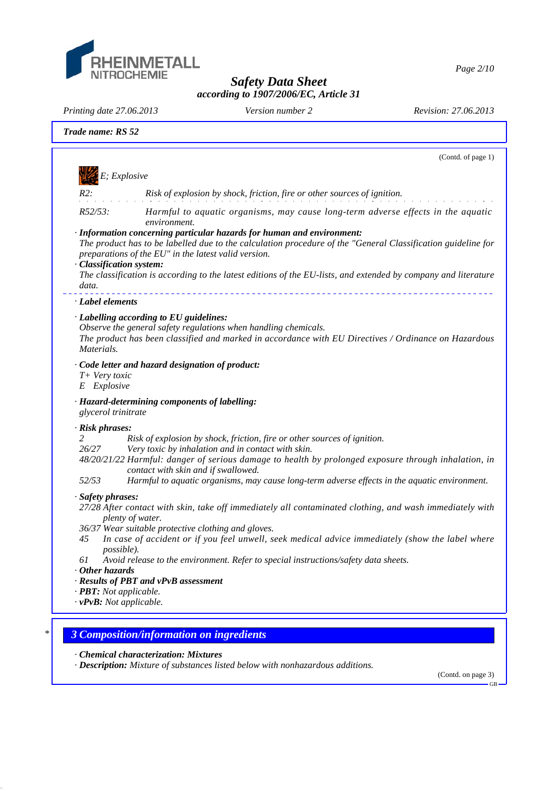

*Page 2/10*

*Safety Data Sheet according to 1907/2006/EC, Article 31*

*Printing date 27.06.2013 Revision: 27.06.2013 Version number 2*

|                                        | (Contd. of page 1)                                                                                                                                                                                                                                                                                                                                                             |
|----------------------------------------|--------------------------------------------------------------------------------------------------------------------------------------------------------------------------------------------------------------------------------------------------------------------------------------------------------------------------------------------------------------------------------|
| $E;\,Explosive$                        |                                                                                                                                                                                                                                                                                                                                                                                |
| $R2$ :                                 | Risk of explosion by shock, friction, fire or other sources of ignition.                                                                                                                                                                                                                                                                                                       |
| R52/53:                                | Harmful to aquatic organisms, may cause long-term adverse effects in the aquatic<br>environment.                                                                                                                                                                                                                                                                               |
| · Classification system:<br>data.      | · Information concerning particular hazards for human and environment:<br>The product has to be labelled due to the calculation procedure of the "General Classification guideline for<br>preparations of the EU" in the latest valid version.<br>The classification is according to the latest editions of the EU-lists, and extended by company and literature               |
| · Label elements                       |                                                                                                                                                                                                                                                                                                                                                                                |
| Materials.                             | · Labelling according to EU guidelines:<br>Observe the general safety regulations when handling chemicals.<br>The product has been classified and marked in accordance with EU Directives / Ordinance on Hazardous                                                                                                                                                             |
| T+ Very toxic<br>E Explosive           | · Code letter and hazard designation of product:                                                                                                                                                                                                                                                                                                                               |
| glycerol trinitrate                    | · Hazard-determining components of labelling:                                                                                                                                                                                                                                                                                                                                  |
| · Risk phrases:<br>2<br>26/27<br>52/53 | Risk of explosion by shock, friction, fire or other sources of ignition.<br>Very toxic by inhalation and in contact with skin.<br>48/20/21/22 Harmful: danger of serious damage to health by prolonged exposure through inhalation, in<br>contact with skin and if swallowed.<br>Harmful to aquatic organisms, may cause long-term adverse effects in the aquatic environment. |
| · Safety phrases:                      |                                                                                                                                                                                                                                                                                                                                                                                |
| 45                                     | 27/28 After contact with skin, take off immediately all contaminated clothing, and wash immediately with<br>plenty of water.<br>36/37 Wear suitable protective clothing and gloves.<br>In case of accident or if you feel unwell, seek medical advice immediately (show the label where                                                                                        |
| <i>possible</i> ).<br>61               | Avoid release to the environment. Refer to special instructions/safety data sheets.                                                                                                                                                                                                                                                                                            |
| $\cdot$ Other hazards                  |                                                                                                                                                                                                                                                                                                                                                                                |
|                                        | · Results of PBT and vPvB assessment                                                                                                                                                                                                                                                                                                                                           |
| · <b>PBT</b> : Not applicable.         | $\cdot v$ PvB: Not applicable.                                                                                                                                                                                                                                                                                                                                                 |

*· Description: Mixture of substances listed below with nonhazardous additions.*

(Contd. on page 3) GB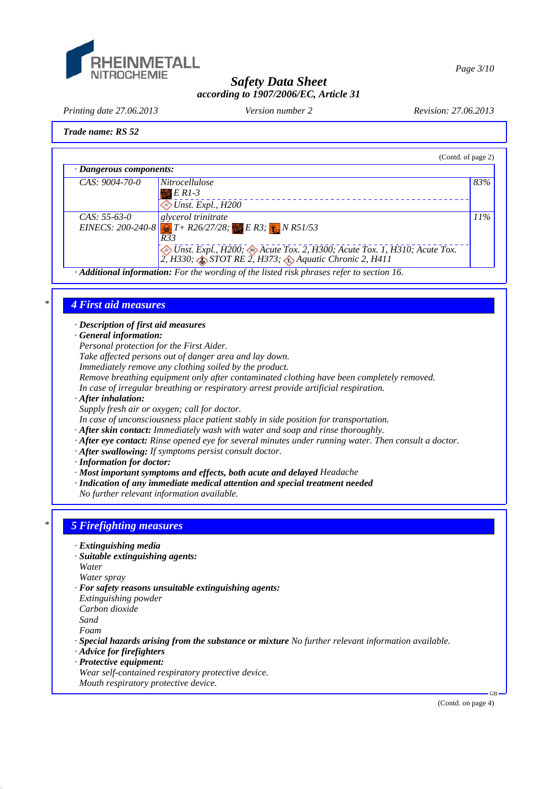

*Page 3/10*

# *Safety Data Sheet according to 1907/2006/EC, Article 31*

*Printing date 27.06.2013 Revision: 27.06.2013 Version number 2*

# *Trade name: RS 52*

|                               |                                                                                                                                                                          | (Contd. of page 2) |
|-------------------------------|--------------------------------------------------------------------------------------------------------------------------------------------------------------------------|--------------------|
| $\cdot$ Dangerous components: |                                                                                                                                                                          |                    |
| $CAS: 9004-70-0$              | <i>Nitrocellulose</i>                                                                                                                                                    | 83%                |
|                               | $E$ R1-3                                                                                                                                                                 |                    |
|                               | $\diamond$ Unst. Expl., H200                                                                                                                                             |                    |
| $CAS: 55-63-0$                | glycerol trinitrate                                                                                                                                                      | 11%                |
|                               | EINECS: 200-240-8 $T + R26/27/28$ ; ER3; NR51/53<br>R33                                                                                                                  |                    |
|                               | <i>Dinst. Expl., H200; <math>\otimes</math> Acute Tox. 2, H300; Acute Tox. 1, H310; Acute Tox.</i> 2, H330; $\otimes$ STOT RE 2, H373; $\otimes$ Aquatic Chronic 2, H411 |                    |
|                               | Additional information: For the wording of the listed risk phrases refer to section 16.                                                                                  |                    |

#### *\* 4 First aid measures*

*· Description of first aid measures*

*· General information:*

*Personal protection for the First Aider.*

*Take affected persons out of danger area and lay down.*

*Immediately remove any clothing soiled by the product.*

*Remove breathing equipment only after contaminated clothing have been completely removed.*

*In case of irregular breathing or respiratory arrest provide artificial respiration.*

*· After inhalation:*

*Supply fresh air or oxygen; call for doctor.*

*In case of unconsciousness place patient stably in side position for transportation.*

- *· After skin contact: Immediately wash with water and soap and rinse thoroughly.*
- *· After eye contact: Rinse opened eye for several minutes under running water. Then consult a doctor.*
- *· After swallowing: If symptoms persist consult doctor.*
- *· Information for doctor:*
- *· Most important symptoms and effects, both acute and delayed Headache*
- *· Indication of any immediate medical attention and special treatment needed*

*No further relevant information available.*

# *\* 5 Firefighting measures*

- *· Extinguishing media*
- *· Suitable extinguishing agents:*
- *Water*

*Water spray*

- *· For safety reasons unsuitable extinguishing agents:*
- *Extinguishing powder*
- *Carbon dioxide*

*Sand*

*Foam*

- *· Special hazards arising from the substance or mixture No further relevant information available.*
- *· Advice for firefighters*
- *· Protective equipment:*
- *Wear self-contained respiratory protective device.*
- *Mouth respiratory protective device.*

(Contd. on page 4)

GB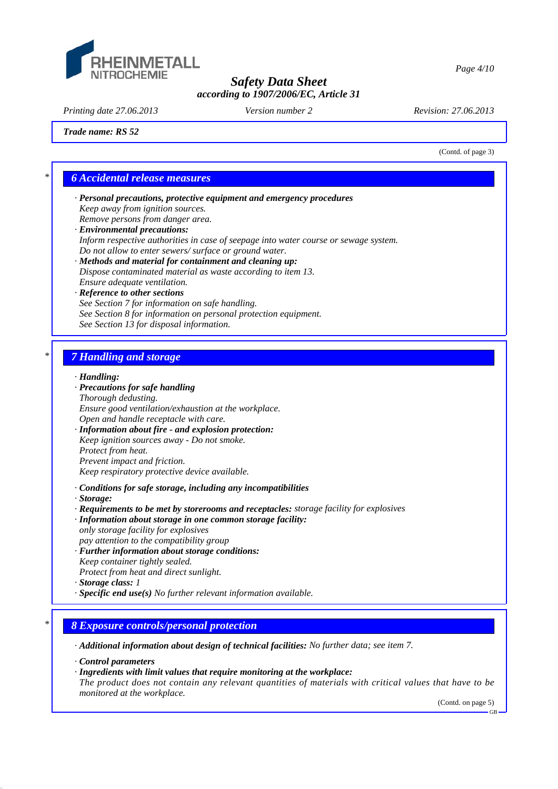

*Page 4/10*

## *Safety Data Sheet according to 1907/2006/EC, Article 31*

*Printing date 27.06.2013 Revision: 27.06.2013 Version number 2*

(Contd. of page 3)

*Trade name: RS 52*

# *\* 6 Accidental release measures*

- *· Personal precautions, protective equipment and emergency procedures Keep away from ignition sources. Remove persons from danger area.*
- *· Environmental precautions: Inform respective authorities in case of seepage into water course or sewage system. Do not allow to enter sewers/ surface or ground water.*
- *· Methods and material for containment and cleaning up: Dispose contaminated material as waste according to item 13. Ensure adequate ventilation.*

#### *· Reference to other sections See Section 7 for information on safe handling. See Section 8 for information on personal protection equipment. See Section 13 for disposal information.*

# *\* 7 Handling and storage*

#### *· Handling:*

#### *· Precautions for safe handling*

*Thorough dedusting. Ensure good ventilation/exhaustion at the workplace. Open and handle receptacle with care.*

*· Information about fire - and explosion protection: Keep ignition sources away - Do not smoke. Protect from heat. Prevent impact and friction. Keep respiratory protective device available.*

*· Conditions for safe storage, including any incompatibilities*

- *· Storage:*
- *· Requirements to be met by storerooms and receptacles: storage facility for explosives*
- *· Information about storage in one common storage facility: only storage facility for explosives*
- *pay attention to the compatibility group*
- *· Further information about storage conditions: Keep container tightly sealed.*
- *Protect from heat and direct sunlight.*
- *· Storage class: 1*
- *· Specific end use(s) No further relevant information available.*

## *\* 8 Exposure controls/personal protection*

*· Additional information about design of technical facilities: No further data; see item 7.*

- *· Control parameters*
- *· Ingredients with limit values that require monitoring at the workplace:*
- *The product does not contain any relevant quantities of materials with critical values that have to be monitored at the workplace.*

(Contd. on page 5)

GB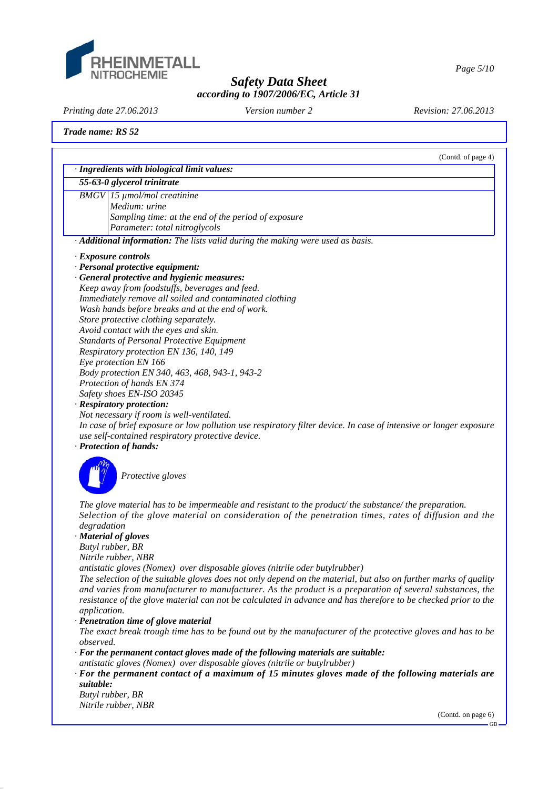

*Page 5/10*

# *Safety Data Sheet according to 1907/2006/EC, Article 31*

*Printing date 27.06.2013 Revision: 27.06.2013 Version number 2*

*Trade name: RS 52*

|              | (Contd. of page 4)                                                                                                |
|--------------|-------------------------------------------------------------------------------------------------------------------|
|              | · Ingredients with biological limit values:<br>55-63-0 glycerol trinitrate                                        |
|              |                                                                                                                   |
|              | <b>BMGV</b> 15 µmol/mol creatinine                                                                                |
|              | Medium: urine                                                                                                     |
|              | Sampling time: at the end of the period of exposure                                                               |
|              | Parameter: total nitroglycols                                                                                     |
|              | · Additional information: The lists valid during the making were used as basis.                                   |
|              | <b>Exposure controls</b>                                                                                          |
|              | · Personal protective equipment:                                                                                  |
|              | · General protective and hygienic measures:                                                                       |
|              | Keep away from foodstuffs, beverages and feed.                                                                    |
|              | Immediately remove all soiled and contaminated clothing                                                           |
|              | Wash hands before breaks and at the end of work.                                                                  |
|              | Store protective clothing separately.                                                                             |
|              | Avoid contact with the eyes and skin.                                                                             |
|              | <b>Standarts of Personal Protective Equipment</b>                                                                 |
|              | Respiratory protection EN 136, 140, 149                                                                           |
|              | Eye protection EN 166                                                                                             |
|              | Body protection EN 340, 463, 468, 943-1, 943-2                                                                    |
|              | Protection of hands EN 374                                                                                        |
|              | Safety shoes EN-ISO 20345                                                                                         |
|              | · Respiratory protection:                                                                                         |
|              | Not necessary if room is well-ventilated.                                                                         |
|              | In case of brief exposure or low pollution use respiratory filter device. In case of intensive or longer exposure |
|              | use self-contained respiratory protective device.                                                                 |
|              | · Protection of hands:                                                                                            |
|              |                                                                                                                   |
|              | Protective gloves                                                                                                 |
|              |                                                                                                                   |
|              |                                                                                                                   |
|              | The glove material has to be impermeable and resistant to the product/ the substance/ the preparation.            |
|              | Selection of the glove material on consideration of the penetration times, rates of diffusion and the             |
| degradation  |                                                                                                                   |
|              | · Material of gloves                                                                                              |
|              | Butyl rubber, BR                                                                                                  |
|              | Nitrile rubber, NBR                                                                                               |
|              | antistatic gloves (Nomex) over disposable gloves (nitrile oder butylrubber)                                       |
|              | The selection of the suitable gloves does not only depend on the material, but also on further marks of quality   |
|              | and varies from manufacturer to manufacturer. As the product is a preparation of several substances, the          |
|              | resistance of the glove material can not be calculated in advance and has therefore to be checked prior to the    |
| application. |                                                                                                                   |
|              | · Penetration time of glove material                                                                              |
|              | The exact break trough time has to be found out by the manufacturer of the protective gloves and has to be        |
| observed.    |                                                                                                                   |
|              | $\cdot$ For the permanent contact gloves made of the following materials are suitable:                            |

- *antistatic gloves (Nomex) over disposable gloves (nitrile or butylrubber)*
- *· For the permanent contact of a maximum of 15 minutes gloves made of the following materials are suitable:*

*Butyl rubber, BR Nitrile rubber, NBR*

(Contd. on page 6)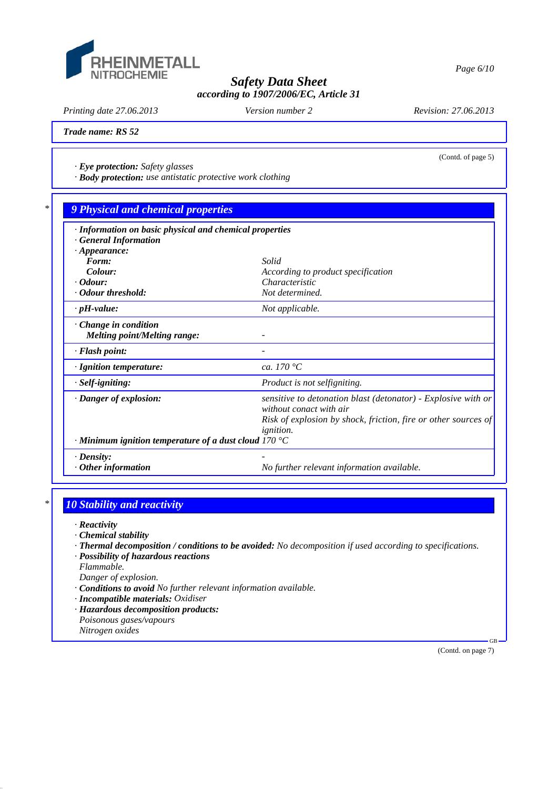

*Printing date 27.06.2013 Revision: 27.06.2013 Version number 2*

(Contd. of page 5)

*Trade name: RS 52*

*· Eye protection: Safety glasses*

*· Body protection: use antistatic protective work clothing*

# *\* 9 Physical and chemical properties*

| · Information on basic physical and chemical properties            |                                                                                          |  |  |  |
|--------------------------------------------------------------------|------------------------------------------------------------------------------------------|--|--|--|
| <b>General Information</b>                                         |                                                                                          |  |  |  |
| $\cdot$ Appearance:                                                |                                                                                          |  |  |  |
| Form:                                                              | Solid                                                                                    |  |  |  |
| Colour:                                                            | According to product specification                                                       |  |  |  |
| $\cdot$ Odour:                                                     | Characteristic                                                                           |  |  |  |
| · Odour threshold:                                                 | Not determined.                                                                          |  |  |  |
| $\cdot$ pH-value:                                                  | Not applicable.                                                                          |  |  |  |
| $\cdot$ Change in condition<br><i>Melting point/Melting range:</i> |                                                                                          |  |  |  |
|                                                                    |                                                                                          |  |  |  |
| · Flash point:                                                     |                                                                                          |  |  |  |
| · Ignition temperature:                                            | ca. 170 $^{\circ}C$                                                                      |  |  |  |
| $·$ <i>Self-igniting:</i>                                          | Product is not selfigniting.                                                             |  |  |  |
| · Danger of explosion:                                             | sensitive to detonation blast (detonator) - Explosive with or<br>without conact with air |  |  |  |
|                                                                    |                                                                                          |  |  |  |
|                                                                    | Risk of explosion by shock, friction, fire or other sources of                           |  |  |  |
|                                                                    | <i>ignition.</i>                                                                         |  |  |  |
| $\cdot$ Minimum ignition temperature of a dust cloud 170 °C        |                                                                                          |  |  |  |
| $\cdot$ Density:                                                   |                                                                                          |  |  |  |
| $\cdot$ Other information                                          | No further relevant information available.                                               |  |  |  |

# *\* 10 Stability and reactivity*

*· Reactivity*

- *· Chemical stability*
- *· Thermal decomposition / conditions to be avoided: No decomposition if used according to specifications.*
- *· Possibility of hazardous reactions*
- *Flammable.*

*Danger of explosion.*

- *· Conditions to avoid No further relevant information available.*
- *· Incompatible materials: Oxidiser*
- *· Hazardous decomposition products: Poisonous gases/vapours*
- *Nitrogen oxides*

(Contd. on page 7)

GB

*Page 6/10*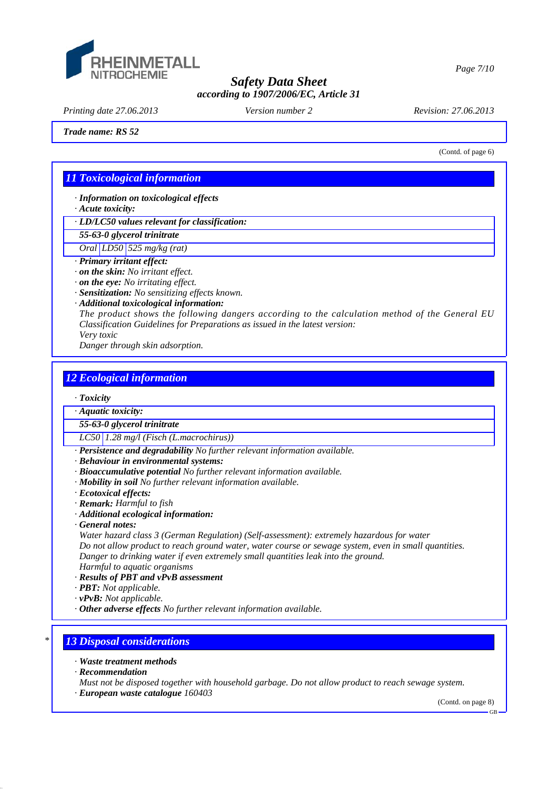

*Printing date 27.06.2013 Revision: 27.06.2013 Version number 2*

*Trade name: RS 52*

(Contd. of page 6)

*Page 7/10*

# *11 Toxicological information*

*· Information on toxicological effects*

*· Acute toxicity:*

*· LD/LC50 values relevant for classification:*

*55-63-0 glycerol trinitrate*

*Oral LD50 525 mg/kg (rat)*

*· Primary irritant effect:*

*· on the skin: No irritant effect.*

*· on the eye: No irritating effect.*

*· Sensitization: No sensitizing effects known.*

*· Additional toxicological information:*

*The product shows the following dangers according to the calculation method of the General EU Classification Guidelines for Preparations as issued in the latest version:*

*Very toxic*

*Danger through skin adsorption.*

#### *12 Ecological information*

*· Toxicity*

*· Aquatic toxicity:*

*55-63-0 glycerol trinitrate*

*LC50 1.28 mg/l (Fisch (L.macrochirus))*

*· Persistence and degradability No further relevant information available.*

*· Behaviour in environmental systems:*

- *· Bioaccumulative potential No further relevant information available.*
- *· Mobility in soil No further relevant information available.*
- *· Ecotoxical effects:*
- *· Remark: Harmful to fish*
- *· Additional ecological information:*

*· General notes:*

*Water hazard class 3 (German Regulation) (Self-assessment): extremely hazardous for water Do not allow product to reach ground water, water course or sewage system, even in small quantities. Danger to drinking water if even extremely small quantities leak into the ground.*

*Harmful to aquatic organisms*

*· Results of PBT and vPvB assessment*

*· PBT: Not applicable.*

*· vPvB: Not applicable.*

*· Other adverse effects No further relevant information available.*

## *\* 13 Disposal considerations*

*· Waste treatment methods*

*· Recommendation*

*Must not be disposed together with household garbage. Do not allow product to reach sewage system.*

*· European waste catalogue 160403*

(Contd. on page 8)

GB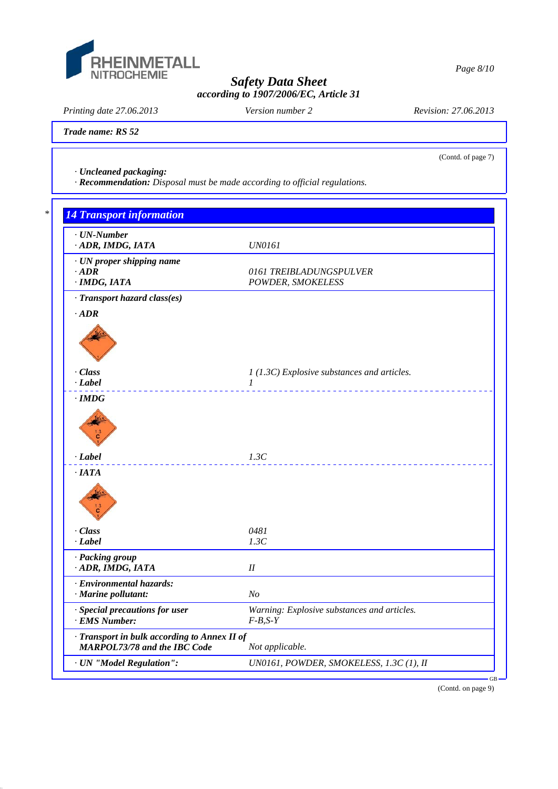

*Printing date 27.06.2013 Revision: 27.06.2013 Version number 2*

(Contd. of page 7)

*Trade name: RS 52*

*· Uncleaned packaging:*

*· Recommendation: Disposal must be made according to official regulations.*

# *\* 14 Transport information · UN-Number · ADR, IMDG, IATA UN0161 · UN proper shipping name • ADR O161 TREIBLADUNGSPULVER*<br>*POWDER, SMOKELESS*  $POWDER, SMOKELESS$ *· Transport hazard class(es) · ADR · Class 1 (1.3C) Explosive substances and articles. · Label 1*  \_\_\_\_\_\_\_\_\_\_\_\_\_\_\_\_\_\_\_\_\_ *· IMDG · Label 1.3C · IATA · Class 0481 · Label 1.3C · Packing group · ADR, IMDG, IATA II · Environmental hazards: · Marine pollutant: No · Special precautions for user Warning: Explosive substances and articles. · EMS Number: F-B,S-Y · Transport in bulk according to Annex II of MARPOL73/78 and the IBC Code Not applicable. · UN "Model Regulation": UN0161, POWDER, SMOKELESS, 1.3C (1), II* GB

(Contd. on page 9)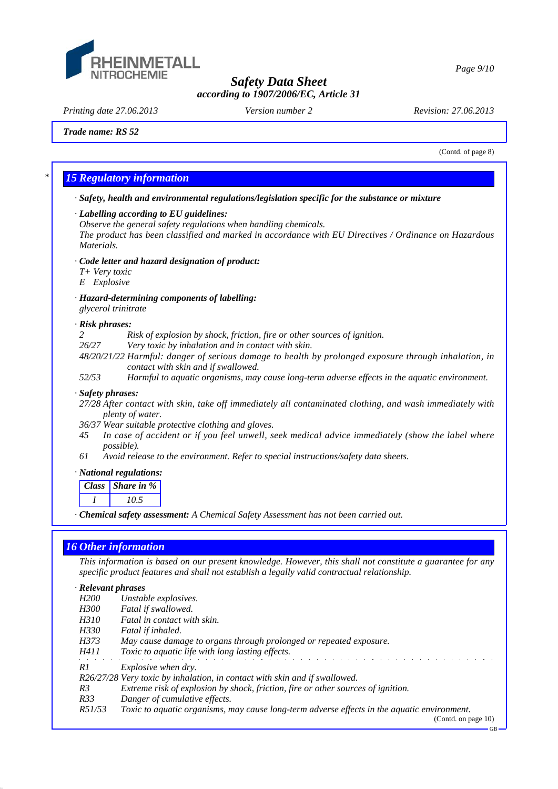

*Printing date 27.06.2013 Revision: 27.06.2013 Version number 2*

*Page 9/10*

*Trade name: RS 52*

(Contd. of page 8)

# *\* 15 Regulatory information*

*· Safety, health and environmental regulations/legislation specific for the substance or mixture*

#### *· Labelling according to EU guidelines:*

*Observe the general safety regulations when handling chemicals.*

*The product has been classified and marked in accordance with EU Directives / Ordinance on Hazardous Materials.*

#### *· Code letter and hazard designation of product:*

- *T+ Very toxic*
- *E Explosive*

#### *· Hazard-determining components of labelling: glycerol trinitrate*

#### *· Risk phrases:*

- *2 Risk of explosion by shock, friction, fire or other sources of ignition.*
- *26/27 Very toxic by inhalation and in contact with skin.*
- *48/20/21/22 Harmful: danger of serious damage to health by prolonged exposure through inhalation, in contact with skin and if swallowed.*
- *52/53 Harmful to aquatic organisms, may cause long-term adverse effects in the aquatic environment.*

#### *· Safety phrases:*

- *27/28 After contact with skin, take off immediately all contaminated clothing, and wash immediately with plenty of water.*
- *36/37 Wear suitable protective clothing and gloves.*
- *45 In case of accident or if you feel unwell, seek medical advice immediately (show the label where possible).*
- *61 Avoid release to the environment. Refer to special instructions/safety data sheets.*

#### *· National regulations:*

| Class Share in $%$ |
|--------------------|
| 105                |
|                    |

*· Chemical safety assessment: A Chemical Safety Assessment has not been carried out.*

## *16 Other information*

*This information is based on our present knowledge. However, this shall not constitute a guarantee for any specific product features and shall not establish a legally valid contractual relationship.*

#### *· Relevant phrases*

| <i>H200</i>    | Unstable explosives.                                                                        |
|----------------|---------------------------------------------------------------------------------------------|
| <i>H300</i>    | Fatal if swallowed.                                                                         |
| <i>H310</i>    | Fatal in contact with skin.                                                                 |
| H330           | Fatal if inhaled.                                                                           |
| H373           | May cause damage to organs through prolonged or repeated exposure.                          |
| H411           | <i>Toxic to aquatic life with long lasting effects.</i>                                     |
| R1             | <i>Explosive when dry.</i>                                                                  |
|                | R26/27/28 Very toxic by inhalation, in contact with skin and if swallowed.                  |
| R <sub>3</sub> | Extreme risk of explosion by shock, friction, fire or other sources of ignition.            |
| R33            | Danger of cumulative effects.                                                               |
| R51/53         | Toxic to aquatic organisms, may cause long-term adverse effects in the aquatic environment. |
|                | (Contd. on page $10$ )                                                                      |

GB